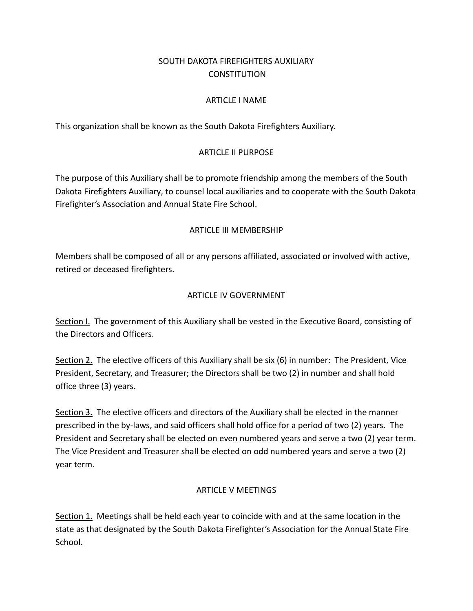# SOUTH DAKOTA FIREFIGHTERS AUXILIARY **CONSTITUTION**

#### ARTICLE I NAME

This organization shall be known as the South Dakota Firefighters Auxiliary.

#### ARTICLE II PURPOSE

The purpose of this Auxiliary shall be to promote friendship among the members of the South Dakota Firefighters Auxiliary, to counsel local auxiliaries and to cooperate with the South Dakota Firefighter's Association and Annual State Fire School.

#### ARTICLE III MEMBERSHIP

Members shall be composed of all or any persons affiliated, associated or involved with active, retired or deceased firefighters.

#### ARTICLE IV GOVERNMENT

Section I. The government of this Auxiliary shall be vested in the Executive Board, consisting of the Directors and Officers.

Section 2. The elective officers of this Auxiliary shall be six (6) in number: The President, Vice President, Secretary, and Treasurer; the Directors shall be two (2) in number and shall hold office three (3) years.

Section 3. The elective officers and directors of the Auxiliary shall be elected in the manner prescribed in the by-laws, and said officers shall hold office for a period of two (2) years. The President and Secretary shall be elected on even numbered years and serve a two (2) year term. The Vice President and Treasurer shall be elected on odd numbered years and serve a two (2) year term.

#### ARTICLE V MEETINGS

Section 1. Meetings shall be held each year to coincide with and at the same location in the state as that designated by the South Dakota Firefighter's Association for the Annual State Fire School.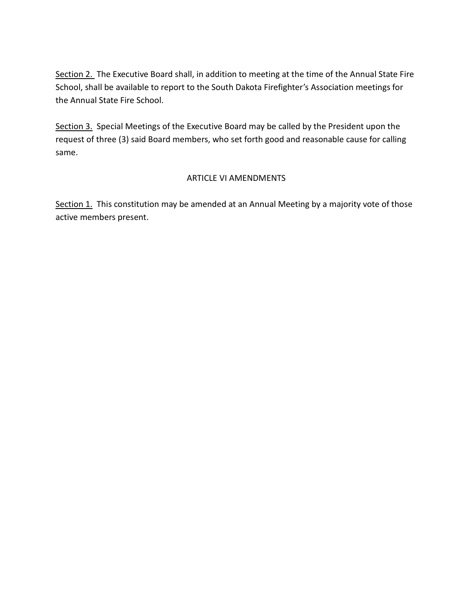Section 2. The Executive Board shall, in addition to meeting at the time of the Annual State Fire School, shall be available to report to the South Dakota Firefighter's Association meetings for the Annual State Fire School.

Section 3. Special Meetings of the Executive Board may be called by the President upon the request of three (3) said Board members, who set forth good and reasonable cause for calling same.

### ARTICLE VI AMENDMENTS

Section 1. This constitution may be amended at an Annual Meeting by a majority vote of those active members present.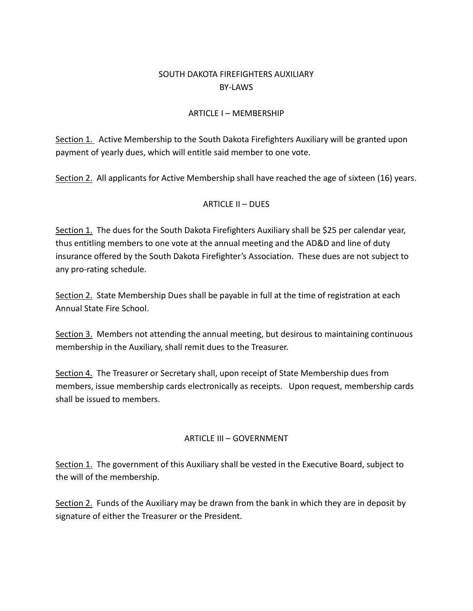## SOUTH DAKOTA FIREFIGHTERS AUXILIARY BY-LAWS

#### ARTICLE I – MEMBERSHIP

Section 1. Active Membership to the South Dakota Firefighters Auxiliary will be granted upon payment of yearly dues, which will entitle said member to one vote.

Section 2. All applicants for Active Membership shall have reached the age of sixteen (16) years.

#### ARTICLE II – DUES

Section 1. The dues for the South Dakota Firefighters Auxiliary shall be \$25 per calendar year, thus entitling members to one vote at the annual meeting and the AD&D and line of duty insurance offered by the South Dakota Firefighter's Association. These dues are not subject to any pro-rating schedule.

Section 2. State Membership Dues shall be payable in full at the time of registration at each Annual State Fire School.

Section 3. Members not attending the annual meeting, but desirous to maintaining continuous membership in the Auxiliary, shall remit dues to the Treasurer.

Section 4. The Treasurer or Secretary shall, upon receipt of State Membership dues from members, issue membership cards electronically as receipts. Upon request, membership cards shall be issued to members.

#### ARTICLE III – GOVERNMENT

Section 1. The government of this Auxiliary shall be vested in the Executive Board, subject to the will of the membership.

Section 2. Funds of the Auxiliary may be drawn from the bank in which they are in deposit by signature of either the Treasurer or the President.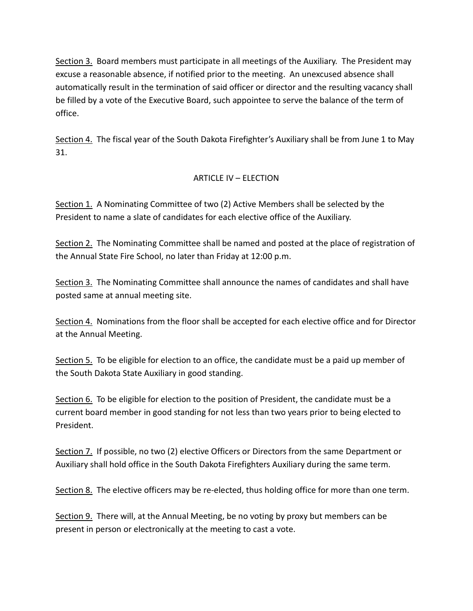Section 3. Board members must participate in all meetings of the Auxiliary. The President may excuse a reasonable absence, if notified prior to the meeting. An unexcused absence shall automatically result in the termination of said officer or director and the resulting vacancy shall be filled by a vote of the Executive Board, such appointee to serve the balance of the term of office.

Section 4. The fiscal year of the South Dakota Firefighter's Auxiliary shall be from June 1 to May 31.

## ARTICLE IV – ELECTION

Section 1. A Nominating Committee of two (2) Active Members shall be selected by the President to name a slate of candidates for each elective office of the Auxiliary.

Section 2. The Nominating Committee shall be named and posted at the place of registration of the Annual State Fire School, no later than Friday at 12:00 p.m.

Section 3. The Nominating Committee shall announce the names of candidates and shall have posted same at annual meeting site.

Section 4. Nominations from the floor shall be accepted for each elective office and for Director at the Annual Meeting.

Section 5. To be eligible for election to an office, the candidate must be a paid up member of the South Dakota State Auxiliary in good standing.

Section 6. To be eligible for election to the position of President, the candidate must be a current board member in good standing for not less than two years prior to being elected to President.

Section 7. If possible, no two (2) elective Officers or Directors from the same Department or Auxiliary shall hold office in the South Dakota Firefighters Auxiliary during the same term.

Section 8. The elective officers may be re-elected, thus holding office for more than one term.

Section 9. There will, at the Annual Meeting, be no voting by proxy but members can be present in person or electronically at the meeting to cast a vote.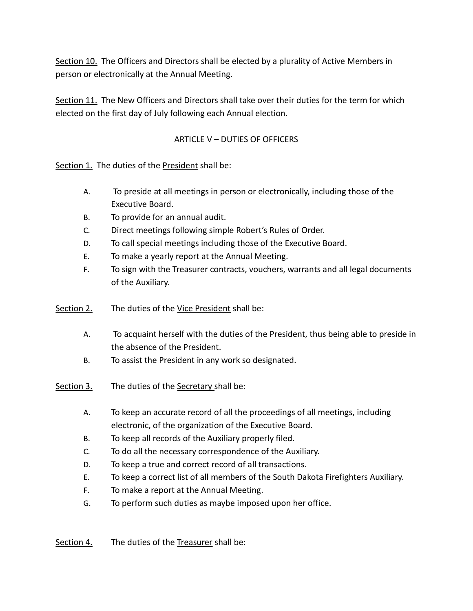Section 10. The Officers and Directors shall be elected by a plurality of Active Members in person or electronically at the Annual Meeting.

Section 11. The New Officers and Directors shall take over their duties for the term for which elected on the first day of July following each Annual election.

## ARTICLE V – DUTIES OF OFFICERS

Section 1. The duties of the President shall be:

- A. To preside at all meetings in person or electronically, including those of the Executive Board.
- B. To provide for an annual audit.
- C. Direct meetings following simple Robert's Rules of Order.
- D. To call special meetings including those of the Executive Board.
- E. To make a yearly report at the Annual Meeting.
- F. To sign with the Treasurer contracts, vouchers, warrants and all legal documents of the Auxiliary.
- Section 2. The duties of the Vice President shall be:
	- A. To acquaint herself with the duties of the President, thus being able to preside in the absence of the President.
	- B. To assist the President in any work so designated.
- Section 3. The duties of the Secretary shall be:
	- A. To keep an accurate record of all the proceedings of all meetings, including electronic, of the organization of the Executive Board.
	- B. To keep all records of the Auxiliary properly filed.
	- C. To do all the necessary correspondence of the Auxiliary.
	- D. To keep a true and correct record of all transactions.
	- E. To keep a correct list of all members of the South Dakota Firefighters Auxiliary.
	- F. To make a report at the Annual Meeting.
	- G. To perform such duties as maybe imposed upon her office.

Section 4. The duties of the Treasurer shall be: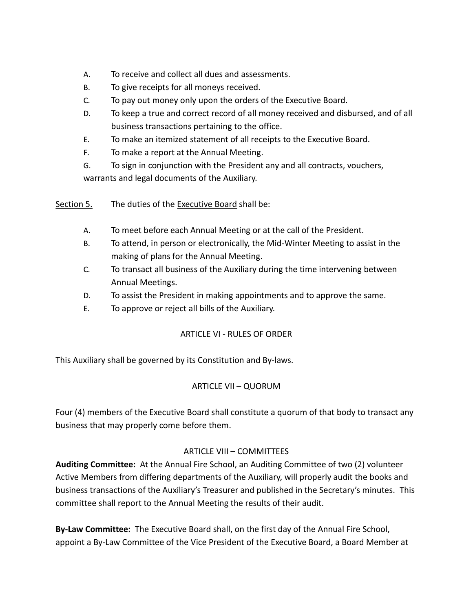- A. To receive and collect all dues and assessments.
- B. To give receipts for all moneys received.
- C. To pay out money only upon the orders of the Executive Board.
- D. To keep a true and correct record of all money received and disbursed, and of all business transactions pertaining to the office.
- E. To make an itemized statement of all receipts to the Executive Board.
- F. To make a report at the Annual Meeting.
- G. To sign in conjunction with the President any and all contracts, vouchers, warrants and legal documents of the Auxiliary.
- Section 5. The duties of the Executive Board shall be:
	- A. To meet before each Annual Meeting or at the call of the President.
	- B. To attend, in person or electronically, the Mid-Winter Meeting to assist in the making of plans for the Annual Meeting.
	- C. To transact all business of the Auxiliary during the time intervening between Annual Meetings.
	- D. To assist the President in making appointments and to approve the same.
	- E. To approve or reject all bills of the Auxiliary.

#### ARTICLE VI - RULES OF ORDER

This Auxiliary shall be governed by its Constitution and By-laws.

## ARTICLE VII – QUORUM

Four (4) members of the Executive Board shall constitute a quorum of that body to transact any business that may properly come before them.

#### ARTICLE VIII – COMMITTEES

Auditing Committee: At the Annual Fire School, an Auditing Committee of two (2) volunteer Active Members from differing departments of the Auxiliary, will properly audit the books and business transactions of the Auxiliary's Treasurer and published in the Secretary's minutes. This committee shall report to the Annual Meeting the results of their audit.

By-Law Committee: The Executive Board shall, on the first day of the Annual Fire School, appoint a By-Law Committee of the Vice President of the Executive Board, a Board Member at